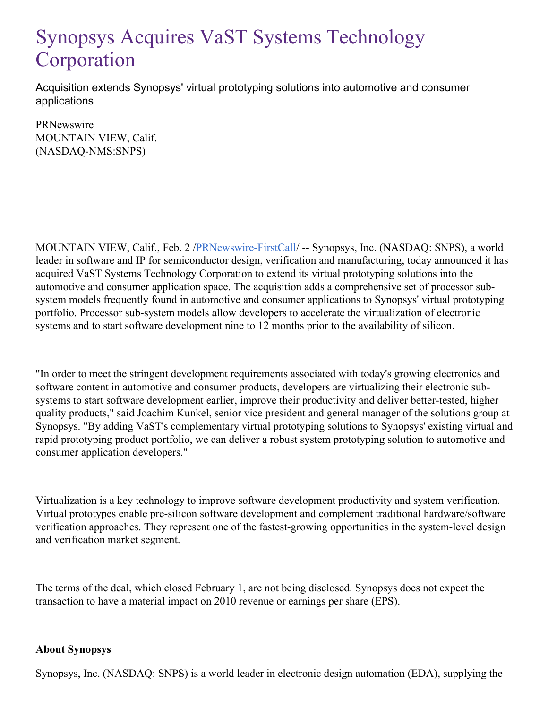## Synopsys Acquires VaST Systems Technology Corporation

Acquisition extends Synopsys' virtual prototyping solutions into automotive and consumer applications

**PRNewswire** MOUNTAIN VIEW, Calif. (NASDAQ-NMS:SNPS)

MOUNTAIN VIEW, Calif., Feb. 2 [/PRNewswire-FirstCall](http://www.prnewswire.com/)/ -- Synopsys, Inc. (NASDAQ: SNPS), a world leader in software and IP for semiconductor design, verification and manufacturing, today announced it has acquired VaST Systems Technology Corporation to extend its virtual prototyping solutions into the automotive and consumer application space. The acquisition adds a comprehensive set of processor subsystem models frequently found in automotive and consumer applications to Synopsys' virtual prototyping portfolio. Processor sub-system models allow developers to accelerate the virtualization of electronic systems and to start software development nine to 12 months prior to the availability of silicon.

"In order to meet the stringent development requirements associated with today's growing electronics and software content in automotive and consumer products, developers are virtualizing their electronic subsystems to start software development earlier, improve their productivity and deliver better-tested, higher quality products," said Joachim Kunkel, senior vice president and general manager of the solutions group at Synopsys. "By adding VaST's complementary virtual prototyping solutions to Synopsys' existing virtual and rapid prototyping product portfolio, we can deliver a robust system prototyping solution to automotive and consumer application developers."

Virtualization is a key technology to improve software development productivity and system verification. Virtual prototypes enable pre-silicon software development and complement traditional hardware/software verification approaches. They represent one of the fastest-growing opportunities in the system-level design and verification market segment.

The terms of the deal, which closed February 1, are not being disclosed. Synopsys does not expect the transaction to have a material impact on 2010 revenue or earnings per share (EPS).

## **About Synopsys**

Synopsys, Inc. (NASDAQ: SNPS) is a world leader in electronic design automation (EDA), supplying the